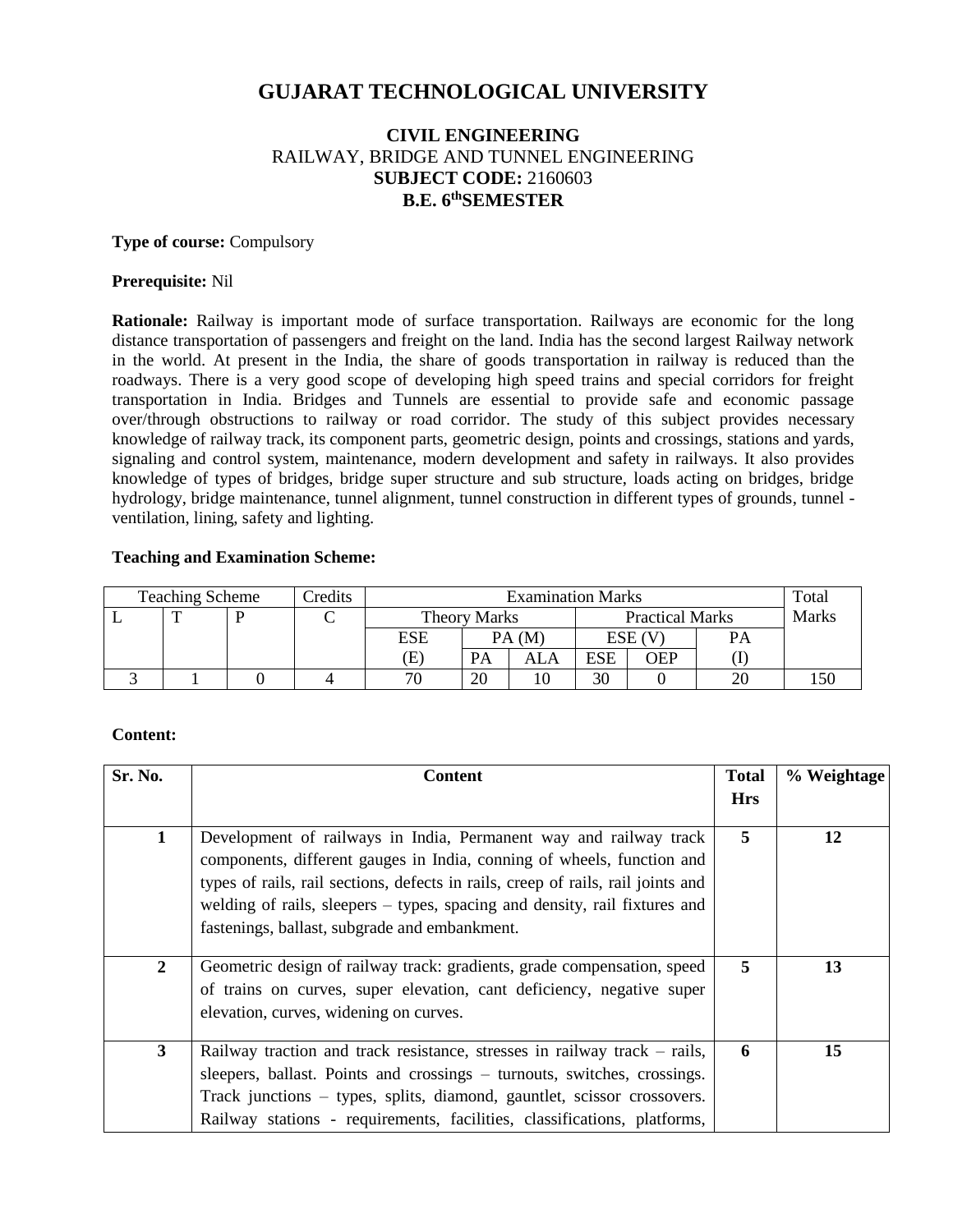# **GUJARAT TECHNOLOGICAL UNIVERSITY**

# **CIVIL ENGINEERING** RAILWAY, BRIDGE AND TUNNEL ENGINEERING **SUBJECT CODE:** 2160603 **B.E. 6 thSEMESTER**

#### **Type of course:** Compulsory

#### **Prerequisite:** Nil

**Rationale:** Railway is important mode of surface transportation. Railways are economic for the long distance transportation of passengers and freight on the land. India has the second largest Railway network in the world. At present in the India, the share of goods transportation in railway is reduced than the roadways. There is a very good scope of developing high speed trains and special corridors for freight transportation in India. Bridges and Tunnels are essential to provide safe and economic passage over/through obstructions to railway or road corridor. The study of this subject provides necessary knowledge of railway track, its component parts, geometric design, points and crossings, stations and yards, signaling and control system, maintenance, modern development and safety in railways. It also provides knowledge of types of bridges, bridge super structure and sub structure, loads acting on bridges, bridge hydrology, bridge maintenance, tunnel alignment, tunnel construction in different types of grounds, tunnel ventilation, lining, safety and lighting.

#### **Teaching and Examination Scheme:**

| <b>Teaching Scheme</b> |  |  | Credits | <b>Examination Marks</b> |           |                        |            |     | Total |  |
|------------------------|--|--|---------|--------------------------|-----------|------------------------|------------|-----|-------|--|
|                        |  |  |         | <b>Theory Marks</b>      |           | <b>Practical Marks</b> |            |     | Marks |  |
|                        |  |  |         | <b>ESE</b>               | PA(M)     |                        | ESE (V     |     | PА    |  |
|                        |  |  |         | Œ                        | <b>PA</b> | ALA                    | <b>ESE</b> | OEP |       |  |
|                        |  |  |         | 70                       | 20        |                        | 30         |     |       |  |

## **Content:**

| Sr. No.        | <b>Content</b>                                                                                                                                                                                                                                                                                                                                                 | <b>Total</b><br><b>Hrs</b> | % Weightage |
|----------------|----------------------------------------------------------------------------------------------------------------------------------------------------------------------------------------------------------------------------------------------------------------------------------------------------------------------------------------------------------------|----------------------------|-------------|
| 1              | Development of railways in India, Permanent way and railway track<br>components, different gauges in India, conning of wheels, function and<br>types of rails, rail sections, defects in rails, creep of rails, rail joints and<br>welding of rails, sleepers - types, spacing and density, rail fixtures and<br>fastenings, ballast, subgrade and embankment. | 5                          | 12          |
| $\overline{2}$ | Geometric design of railway track: gradients, grade compensation, speed<br>of trains on curves, super elevation, cant deficiency, negative super<br>elevation, curves, widening on curves.                                                                                                                                                                     | 5                          | 13          |
| $\mathbf{3}$   | Railway traction and track resistance, stresses in railway track – rails,<br>sleepers, ballast. Points and crossings – turnouts, switches, crossings.<br>Track junctions – types, splits, diamond, gauntlet, scissor crossovers.<br>Railway stations - requirements, facilities, classifications, platforms,                                                   | 6                          | 15          |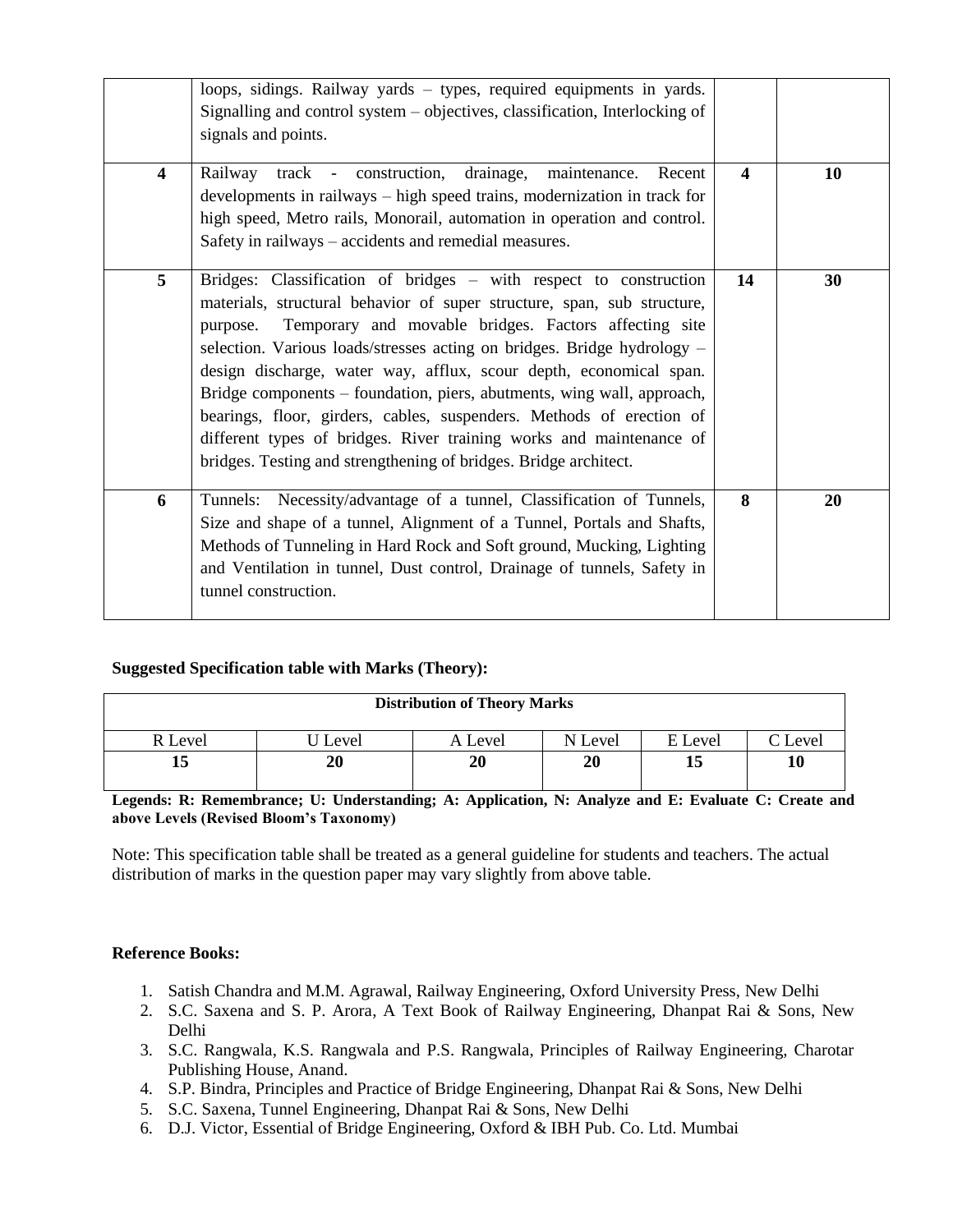|                         | loops, sidings. Railway yards - types, required equipments in yards.<br>Signalling and control system – objectives, classification, Interlocking of<br>signals and points.                                                                                                                                                                                                                                                                                                                                                                                                                                                                                      |                         |    |
|-------------------------|-----------------------------------------------------------------------------------------------------------------------------------------------------------------------------------------------------------------------------------------------------------------------------------------------------------------------------------------------------------------------------------------------------------------------------------------------------------------------------------------------------------------------------------------------------------------------------------------------------------------------------------------------------------------|-------------------------|----|
| $\overline{\mathbf{4}}$ | track - construction, drainage, maintenance.<br>Railway<br>Recent<br>developments in railways – high speed trains, modernization in track for<br>high speed, Metro rails, Monorail, automation in operation and control.<br>Safety in railways – accidents and remedial measures.                                                                                                                                                                                                                                                                                                                                                                               | $\overline{\mathbf{4}}$ | 10 |
| 5                       | Bridges: Classification of bridges - with respect to construction<br>materials, structural behavior of super structure, span, sub structure,<br>Temporary and movable bridges. Factors affecting site<br>purpose.<br>selection. Various loads/stresses acting on bridges. Bridge hydrology -<br>design discharge, water way, afflux, scour depth, economical span.<br>Bridge components – foundation, piers, abutments, wing wall, approach,<br>bearings, floor, girders, cables, suspenders. Methods of erection of<br>different types of bridges. River training works and maintenance of<br>bridges. Testing and strengthening of bridges. Bridge architect. | 14                      | 30 |
| 6                       | Tunnels: Necessity/advantage of a tunnel, Classification of Tunnels,<br>Size and shape of a tunnel, Alignment of a Tunnel, Portals and Shafts,<br>Methods of Tunneling in Hard Rock and Soft ground, Mucking, Lighting<br>and Ventilation in tunnel, Dust control, Drainage of tunnels, Safety in<br>tunnel construction.                                                                                                                                                                                                                                                                                                                                       | 8                       | 20 |

## **Suggested Specification table with Marks (Theory):**

| <b>Distribution of Theory Marks</b> |       |         |         |         |                 |  |  |
|-------------------------------------|-------|---------|---------|---------|-----------------|--|--|
| l Level                             | Level | A Level | N Level | E Level | $\degree$ Level |  |  |
| 15                                  | 20    | 20      | 20      | 15      | 10              |  |  |

**Legends: R: Remembrance; U: Understanding; A: Application, N: Analyze and E: Evaluate C: Create and above Levels (Revised Bloom's Taxonomy)**

Note: This specification table shall be treated as a general guideline for students and teachers. The actual distribution of marks in the question paper may vary slightly from above table.

## **Reference Books:**

- 1. Satish Chandra and M.M. Agrawal, Railway Engineering, Oxford University Press, New Delhi
- 2. S.C. Saxena and S. P. Arora, A Text Book of Railway Engineering, Dhanpat Rai & Sons, New Delhi
- 3. S.C. Rangwala, K.S. Rangwala and P.S. Rangwala, Principles of Railway Engineering, Charotar Publishing House, Anand.
- 4. S.P. Bindra, Principles and Practice of Bridge Engineering, Dhanpat Rai & Sons, New Delhi
- 5. S.C. Saxena, Tunnel Engineering, Dhanpat Rai & Sons, New Delhi
- 6. D.J. Victor, Essential of Bridge Engineering, Oxford & IBH Pub. Co. Ltd. Mumbai